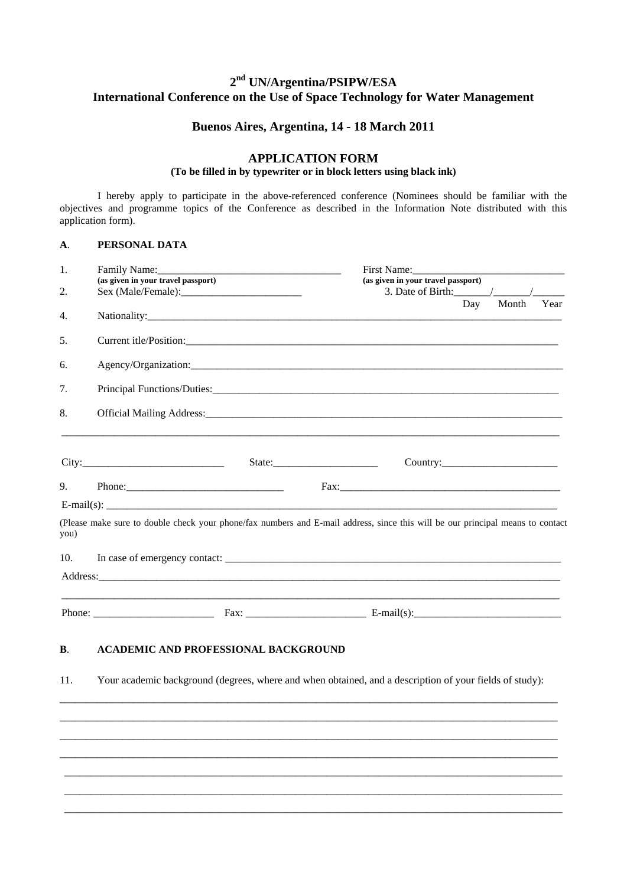# **2nd UN/Argentina/PSIPW/ESA International Conference on the Use of Space Technology for Water Management**

## **Buenos Aires, Argentina, 14 - 18 March 2011**

## **APPLICATION FORM**

### **(To be filled in by typewriter or in block letters using black ink)**

I hereby apply to participate in the above-referenced conference (Nominees should be familiar with the objectives and programme topics of the Conference as described in the Information Note distributed with this application form).

### **A**. **PERSONAL DATA**

| 1.   | Family Name: The Commission of the Commission of the Commission of the Commission of the Commission of the Commission of the Commission of the Commission of the Commission of the Commission of the Commission of the Commiss |                                                   |                                        | First Name: |       |      |  |
|------|--------------------------------------------------------------------------------------------------------------------------------------------------------------------------------------------------------------------------------|---------------------------------------------------|----------------------------------------|-------------|-------|------|--|
|      | (as given in your travel passport)                                                                                                                                                                                             |                                                   | (as given in your travel passport)     |             |       |      |  |
| 2.   |                                                                                                                                                                                                                                |                                                   | 3. Date of Birth: $\frac{\sqrt{2}}{2}$ | Day         | Month | Year |  |
| 4.   |                                                                                                                                                                                                                                |                                                   |                                        |             |       |      |  |
| 5.   |                                                                                                                                                                                                                                |                                                   |                                        |             |       |      |  |
| 6.   |                                                                                                                                                                                                                                |                                                   |                                        |             |       |      |  |
| 7.   |                                                                                                                                                                                                                                |                                                   |                                        |             |       |      |  |
| 8.   |                                                                                                                                                                                                                                |                                                   |                                        |             |       |      |  |
|      |                                                                                                                                                                                                                                | $State: \qquad \qquad \overbrace{\qquad \qquad }$ |                                        |             |       |      |  |
|      |                                                                                                                                                                                                                                |                                                   |                                        |             |       |      |  |
| 9.   |                                                                                                                                                                                                                                |                                                   |                                        |             |       |      |  |
|      | E-mail(s): $\qquad \qquad$                                                                                                                                                                                                     |                                                   |                                        |             |       |      |  |
| you) | (Please make sure to double check your phone/fax numbers and E-mail address, since this will be our principal means to contact                                                                                                 |                                                   |                                        |             |       |      |  |
| 10.  | In case of emergency contact:                                                                                                                                                                                                  |                                                   |                                        |             |       |      |  |
|      |                                                                                                                                                                                                                                |                                                   |                                        |             |       |      |  |
|      |                                                                                                                                                                                                                                |                                                   |                                        |             |       |      |  |
| В.   | <b>ACADEMIC AND PROFESSIONAL BACKGROUND</b>                                                                                                                                                                                    |                                                   |                                        |             |       |      |  |
| 11.  | Your academic background (degrees, where and when obtained, and a description of your fields of study):                                                                                                                        |                                                   |                                        |             |       |      |  |
|      |                                                                                                                                                                                                                                |                                                   |                                        |             |       |      |  |
|      |                                                                                                                                                                                                                                |                                                   |                                        |             |       |      |  |
|      |                                                                                                                                                                                                                                |                                                   |                                        |             |       |      |  |
|      |                                                                                                                                                                                                                                |                                                   |                                        |             |       |      |  |
|      |                                                                                                                                                                                                                                |                                                   |                                        |             |       |      |  |

\_\_\_\_\_\_\_\_\_\_\_\_\_\_\_\_\_\_\_\_\_\_\_\_\_\_\_\_\_\_\_\_\_\_\_\_\_\_\_\_\_\_\_\_\_\_\_\_\_\_\_\_\_\_\_\_\_\_\_\_\_\_\_\_\_\_\_\_\_\_\_\_\_\_\_\_\_\_\_\_\_\_\_\_\_\_\_\_\_\_\_\_\_\_\_ \_\_\_\_\_\_\_\_\_\_\_\_\_\_\_\_\_\_\_\_\_\_\_\_\_\_\_\_\_\_\_\_\_\_\_\_\_\_\_\_\_\_\_\_\_\_\_\_\_\_\_\_\_\_\_\_\_\_\_\_\_\_\_\_\_\_\_\_\_\_\_\_\_\_\_\_\_\_\_\_\_\_\_\_\_\_\_\_\_\_\_\_\_\_\_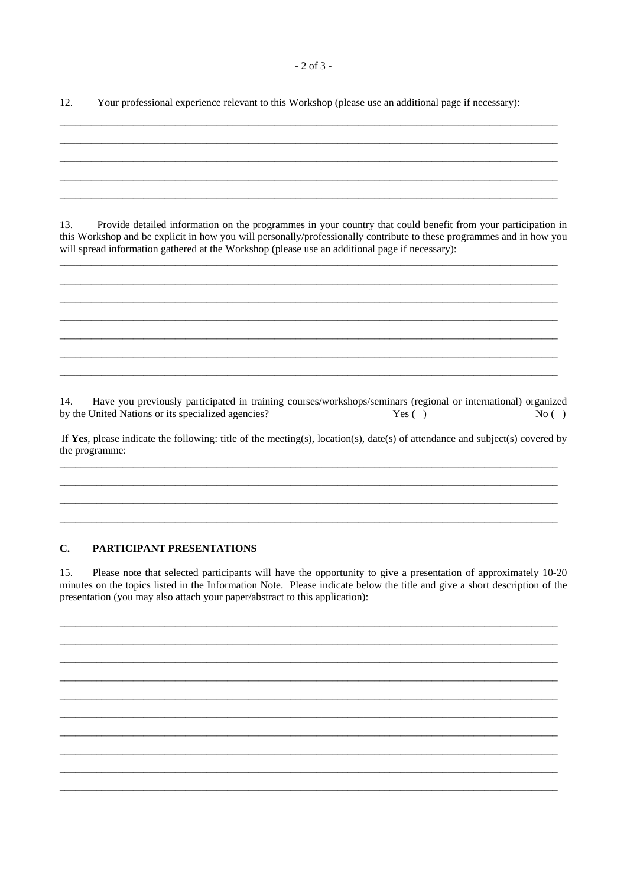$12.$ Your professional experience relevant to this Workshop (please use an additional page if necessary):

13. Provide detailed information on the programmes in your country that could benefit from your participation in this Workshop and be explicit in how you will personally/professionally contribute to these programmes and in how you will spread information gathered at the Workshop (please use an additional page if necessary):

14. Have you previously participated in training courses/workshops/seminars (regional or international) organized by the United Nations or its specialized agencies? Yes  $( )$  $No( )$ 

If Yes, please indicate the following: title of the meeting(s), location(s), date(s) of attendance and subject(s) covered by the programme:

#### $\mathbf{C}$ . PARTICIPANT PRESENTATIONS

 $15.$ Please note that selected participants will have the opportunity to give a presentation of approximately 10-20 minutes on the topics listed in the Information Note. Please indicate below the title and give a short description of the presentation (you may also attach your paper/abstract to this application):